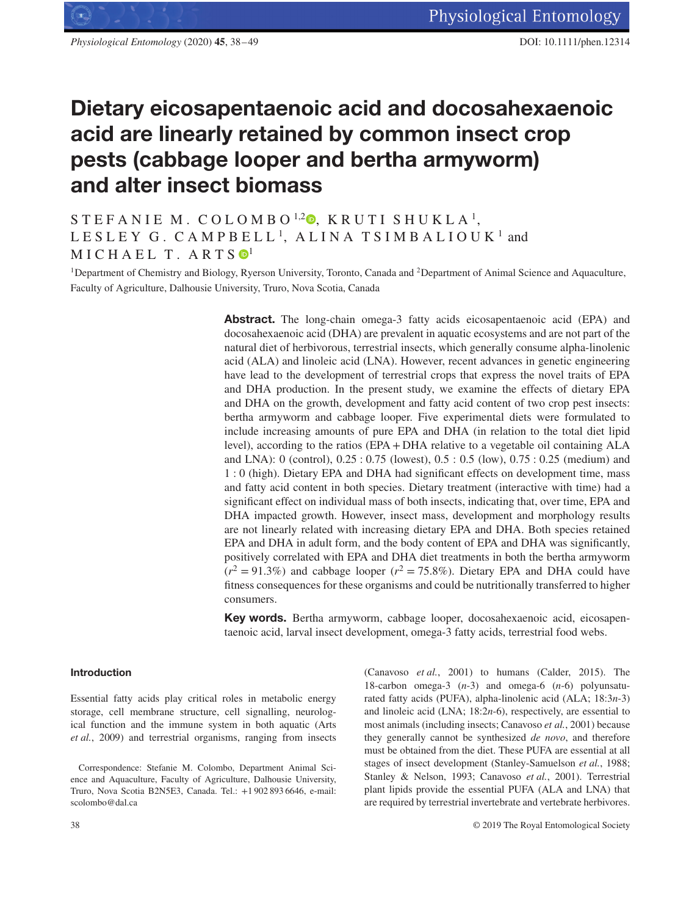# **Dietary eicosapentaenoic acid and docosahexaenoic acid are linearly retained by common insect crop pests (cabbage looper and bertha armyworm) and alter insect biomass**

# STEFANIE M. COLOMBO<sup>1[,](https://orcid.org/0000-0003-1828-7145)2</sup><sup>0</sup>, KRUTI SHUKLA<sup>1</sup>, LESLEY G. CAMPBELL<sup>1</sup>, ALINA TSIMBALIOUK<sup>1</sup> and  $MICHAEL T. ARTS  $\mathbf{0}^1$  $MICHAEL T. ARTS  $\mathbf{0}^1$$$

<sup>1</sup>Department of Chemistry and Biology, Ryerson University, Toronto, Canada and <sup>2</sup>Department of Animal Science and Aquaculture, Faculty of Agriculture, Dalhousie University, Truro, Nova Scotia, Canada

> **Abstract.** The long-chain omega-3 fatty acids eicosapentaenoic acid (EPA) and docosahexaenoic acid (DHA) are prevalent in aquatic ecosystems and are not part of the natural diet of herbivorous, terrestrial insects, which generally consume alpha-linolenic acid (ALA) and linoleic acid (LNA). However, recent advances in genetic engineering have lead to the development of terrestrial crops that express the novel traits of EPA and DHA production. In the present study, we examine the effects of dietary EPA and DHA on the growth, development and fatty acid content of two crop pest insects: bertha armyworm and cabbage looper. Five experimental diets were formulated to include increasing amounts of pure EPA and DHA (in relation to the total diet lipid level), according to the ratios (EPA + DHA relative to a vegetable oil containing ALA and LNA): 0 (control), 0.25 : 0.75 (lowest), 0.5 : 0.5 (low), 0.75 : 0.25 (medium) and 1 : 0 (high). Dietary EPA and DHA had significant effects on development time, mass and fatty acid content in both species. Dietary treatment (interactive with time) had a significant effect on individual mass of both insects, indicating that, over time, EPA and DHA impacted growth. However, insect mass, development and morphology results are not linearly related with increasing dietary EPA and DHA. Both species retained EPA and DHA in adult form, and the body content of EPA and DHA was significantly, positively correlated with EPA and DHA diet treatments in both the bertha armyworm  $(r^2 = 91.3\%)$  and cabbage looper  $(r^2 = 75.8\%)$ . Dietary EPA and DHA could have fitness consequences for these organisms and could be nutritionally transferred to higher consumers.

> **Key words.** Bertha armyworm, cabbage looper, docosahexaenoic acid, eicosapentaenoic acid, larval insect development, omega-3 fatty acids, terrestrial food webs.

# **Introduction**

Essential fatty acids play critical roles in metabolic energy storage, cell membrane structure, cell signalling, neurological function and the immune system in both aquatic (Arts *et al.*, 2009) and terrestrial organisms, ranging from insects (Canavoso *et al.*, 2001) to humans (Calder, 2015). The 18-carbon omega-3 (*n*-3) and omega-6 (*n*-6) polyunsaturated fatty acids (PUFA), alpha-linolenic acid (ALA; 18:3*n*-3) and linoleic acid (LNA; 18:2*n*-6), respectively, are essential to most animals (including insects; Canavoso *et al.*, 2001) because they generally cannot be synthesized *de novo*, and therefore must be obtained from the diet. These PUFA are essential at all stages of insect development (Stanley-Samuelson *et al.*, 1988; Stanley & Nelson, 1993; Canavoso *et al.*, 2001). Terrestrial plant lipids provide the essential PUFA (ALA and LNA) that are required by terrestrial invertebrate and vertebrate herbivores.

Correspondence: Stefanie M. Colombo, Department Animal Science and Aquaculture, Faculty of Agriculture, Dalhousie University, Truro, Nova Scotia B2N5E3, Canada. Tel.: +1 902 893 6646, e-mail: scolombo@dal.ca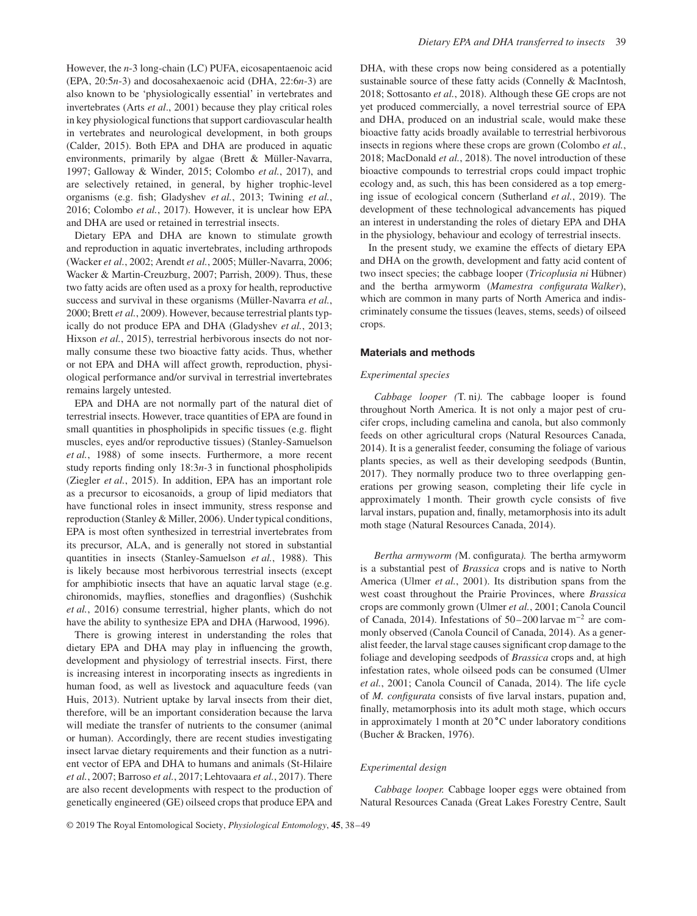However, the *n*-3 long-chain (LC) PUFA, eicosapentaenoic acid (EPA, 20:5*n*-3) and docosahexaenoic acid (DHA, 22:6*n*-3) are also known to be 'physiologically essential' in vertebrates and invertebrates (Arts *et al*., 2001) because they play critical roles in key physiological functions that support cardiovascular health in vertebrates and neurological development, in both groups (Calder, 2015). Both EPA and DHA are produced in aquatic environments, primarily by algae (Brett & Müller-Navarra, 1997; Galloway & Winder, 2015; Colombo *et al.*, 2017), and are selectively retained, in general, by higher trophic-level organisms (e.g. fish; Gladyshev *et al.*, 2013; Twining *et al.*, 2016; Colombo *et al.*, 2017). However, it is unclear how EPA and DHA are used or retained in terrestrial insects.

Dietary EPA and DHA are known to stimulate growth and reproduction in aquatic invertebrates, including arthropods (Wacker *et al.*, 2002; Arendt *et al.*, 2005; Müller-Navarra, 2006; Wacker & Martin-Creuzburg, 2007; Parrish, 2009). Thus, these two fatty acids are often used as a proxy for health, reproductive success and survival in these organisms (Müller-Navarra *et al.*, 2000; Brett *et al.*, 2009). However, because terrestrial plants typically do not produce EPA and DHA (Gladyshev *et al.*, 2013; Hixson *et al.*, 2015), terrestrial herbivorous insects do not normally consume these two bioactive fatty acids. Thus, whether or not EPA and DHA will affect growth, reproduction, physiological performance and/or survival in terrestrial invertebrates remains largely untested.

EPA and DHA are not normally part of the natural diet of terrestrial insects. However, trace quantities of EPA are found in small quantities in phospholipids in specific tissues (e.g. flight muscles, eyes and/or reproductive tissues) (Stanley-Samuelson *et al.*, 1988) of some insects. Furthermore, a more recent study reports finding only 18:3*n-*3 in functional phospholipids (Ziegler *et al.*, 2015). In addition, EPA has an important role as a precursor to eicosanoids, a group of lipid mediators that have functional roles in insect immunity, stress response and reproduction (Stanley & Miller, 2006). Under typical conditions, EPA is most often synthesized in terrestrial invertebrates from its precursor, ALA, and is generally not stored in substantial quantities in insects (Stanley-Samuelson *et al.*, 1988). This is likely because most herbivorous terrestrial insects (except for amphibiotic insects that have an aquatic larval stage (e.g. chironomids, mayflies, stoneflies and dragonflies) (Sushchik *et al.*, 2016) consume terrestrial, higher plants, which do not have the ability to synthesize EPA and DHA (Harwood, 1996).

There is growing interest in understanding the roles that dietary EPA and DHA may play in influencing the growth, development and physiology of terrestrial insects. First, there is increasing interest in incorporating insects as ingredients in human food, as well as livestock and aquaculture feeds (van Huis, 2013). Nutrient uptake by larval insects from their diet, therefore, will be an important consideration because the larva will mediate the transfer of nutrients to the consumer (animal or human). Accordingly, there are recent studies investigating insect larvae dietary requirements and their function as a nutrient vector of EPA and DHA to humans and animals (St-Hilaire *et al.*, 2007; Barroso *et al.*, 2017; Lehtovaara *et al.*, 2017). There are also recent developments with respect to the production of genetically engineered (GE) oilseed crops that produce EPA and DHA, with these crops now being considered as a potentially sustainable source of these fatty acids (Connelly & MacIntosh, 2018; Sottosanto *et al.*, 2018). Although these GE crops are not yet produced commercially, a novel terrestrial source of EPA and DHA, produced on an industrial scale, would make these bioactive fatty acids broadly available to terrestrial herbivorous insects in regions where these crops are grown (Colombo *et al.*, 2018; MacDonald *et al.*, 2018). The novel introduction of these bioactive compounds to terrestrial crops could impact trophic ecology and, as such, this has been considered as a top emerging issue of ecological concern (Sutherland *et al.*, 2019). The development of these technological advancements has piqued an interest in understanding the roles of dietary EPA and DHA in the physiology, behaviour and ecology of terrestrial insects.

In the present study, we examine the effects of dietary EPA and DHA on the growth, development and fatty acid content of two insect species; the cabbage looper (*Tricoplusia ni* Hübner) and the bertha armyworm (*Mamestra configurata Walker*), which are common in many parts of North America and indiscriminately consume the tissues (leaves, stems, seeds) of oilseed crops.

#### **Materials and methods**

#### *Experimental species*

*Cabbage looper (*T. ni*).* The cabbage looper is found throughout North America. It is not only a major pest of crucifer crops, including camelina and canola, but also commonly feeds on other agricultural crops (Natural Resources Canada, 2014). It is a generalist feeder, consuming the foliage of various plants species, as well as their developing seedpods (Buntin, 2017). They normally produce two to three overlapping generations per growing season, completing their life cycle in approximately 1 month. Their growth cycle consists of five larval instars, pupation and, finally, metamorphosis into its adult moth stage (Natural Resources Canada, 2014).

*Bertha armyworm (*M. configurata*).* The bertha armyworm is a substantial pest of *Brassica* crops and is native to North America (Ulmer *et al.*, 2001). Its distribution spans from the west coast throughout the Prairie Provinces, where *Brassica* crops are commonly grown (Ulmer *et al.*, 2001; Canola Council of Canada, 2014). Infestations of 50–200 larvae m<sup>−</sup><sup>2</sup> are commonly observed (Canola Council of Canada, 2014). As a generalist feeder, the larval stage causes significant crop damage to the foliage and developing seedpods of *Brassica* crops and, at high infestation rates, whole oilseed pods can be consumed (Ulmer *et al.*, 2001; Canola Council of Canada, 2014). The life cycle of *M. configurata* consists of five larval instars, pupation and, finally, metamorphosis into its adult moth stage, which occurs in approximately 1 month at 20 ∘C under laboratory conditions (Bucher & Bracken, 1976).

#### *Experimental design*

*Cabbage looper.* Cabbage looper eggs were obtained from Natural Resources Canada (Great Lakes Forestry Centre, Sault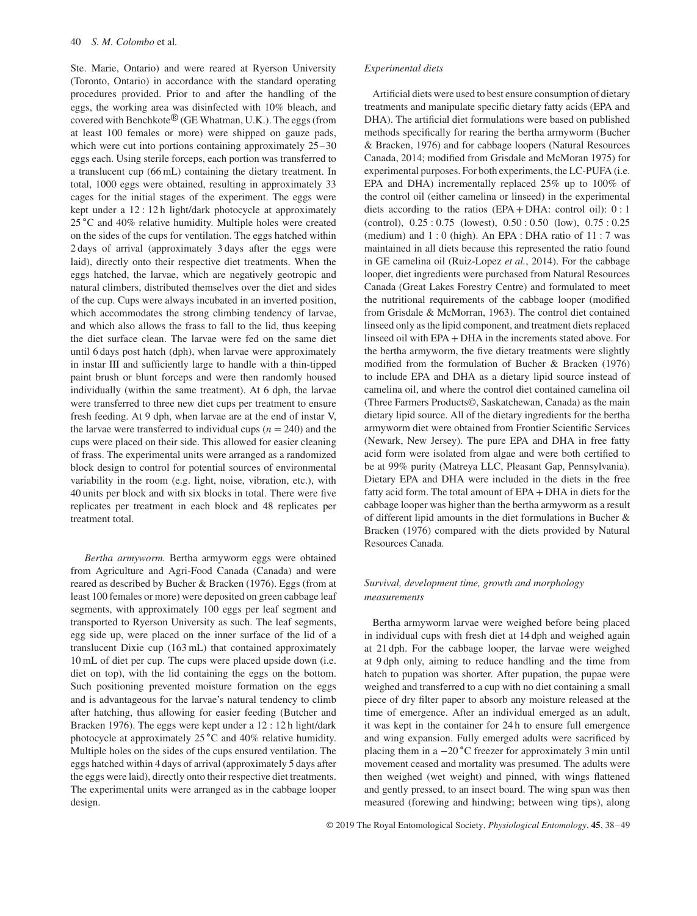Ste. Marie, Ontario) and were reared at Ryerson University (Toronto, Ontario) in accordance with the standard operating procedures provided. Prior to and after the handling of the eggs, the working area was disinfected with 10% bleach, and covered with Benchkote® (GE Whatman, U.K.). The eggs (from at least 100 females or more) were shipped on gauze pads, which were cut into portions containing approximately  $25-30$ eggs each. Using sterile forceps, each portion was transferred to a translucent cup (66 mL) containing the dietary treatment. In total, 1000 eggs were obtained, resulting in approximately 33 cages for the initial stages of the experiment. The eggs were kept under a 12 : 12 h light/dark photocycle at approximately 25 ∘C and 40% relative humidity. Multiple holes were created on the sides of the cups for ventilation. The eggs hatched within 2 days of arrival (approximately 3 days after the eggs were laid), directly onto their respective diet treatments. When the eggs hatched, the larvae, which are negatively geotropic and natural climbers, distributed themselves over the diet and sides of the cup. Cups were always incubated in an inverted position, which accommodates the strong climbing tendency of larvae, and which also allows the frass to fall to the lid, thus keeping the diet surface clean. The larvae were fed on the same diet until 6 days post hatch (dph), when larvae were approximately in instar III and sufficiently large to handle with a thin-tipped paint brush or blunt forceps and were then randomly housed individually (within the same treatment). At 6 dph, the larvae were transferred to three new diet cups per treatment to ensure fresh feeding. At 9 dph, when larvae are at the end of instar V, the larvae were transferred to individual cups  $(n = 240)$  and the cups were placed on their side. This allowed for easier cleaning of frass. The experimental units were arranged as a randomized block design to control for potential sources of environmental variability in the room (e.g. light, noise, vibration, etc.), with 40 units per block and with six blocks in total. There were five replicates per treatment in each block and 48 replicates per treatment total.

*Bertha armyworm.* Bertha armyworm eggs were obtained from Agriculture and Agri-Food Canada (Canada) and were reared as described by Bucher & Bracken (1976). Eggs (from at least 100 females or more) were deposited on green cabbage leaf segments, with approximately 100 eggs per leaf segment and transported to Ryerson University as such. The leaf segments, egg side up, were placed on the inner surface of the lid of a translucent Dixie cup (163 mL) that contained approximately 10 mL of diet per cup. The cups were placed upside down (i.e. diet on top), with the lid containing the eggs on the bottom. Such positioning prevented moisture formation on the eggs and is advantageous for the larvae's natural tendency to climb after hatching, thus allowing for easier feeding (Butcher and Bracken 1976). The eggs were kept under a 12 : 12 h light/dark photocycle at approximately 25 ∘C and 40% relative humidity. Multiple holes on the sides of the cups ensured ventilation. The eggs hatched within 4 days of arrival (approximately 5 days after the eggs were laid), directly onto their respective diet treatments. The experimental units were arranged as in the cabbage looper design.

#### *Experimental diets*

Artificial diets were used to best ensure consumption of dietary treatments and manipulate specific dietary fatty acids (EPA and DHA). The artificial diet formulations were based on published methods specifically for rearing the bertha armyworm (Bucher & Bracken, 1976) and for cabbage loopers (Natural Resources Canada, 2014; modified from Grisdale and McMoran 1975) for experimental purposes. For both experiments, the LC-PUFA (i.e. EPA and DHA) incrementally replaced 25% up to 100% of the control oil (either camelina or linseed) in the experimental diets according to the ratios (EPA + DHA: control oil):  $0:1$ (control), 0.25 : 0.75 (lowest), 0.50 : 0.50 (low), 0.75 : 0.25 (medium) and 1 : 0 (high). An EPA : DHA ratio of 11 : 7 was maintained in all diets because this represented the ratio found in GE camelina oil (Ruiz-Lopez *et al.*, 2014). For the cabbage looper, diet ingredients were purchased from Natural Resources Canada (Great Lakes Forestry Centre) and formulated to meet the nutritional requirements of the cabbage looper (modified from Grisdale & McMorran, 1963). The control diet contained linseed only as the lipid component, and treatment diets replaced linseed oil with EPA + DHA in the increments stated above. For the bertha armyworm, the five dietary treatments were slightly modified from the formulation of Bucher & Bracken (1976) to include EPA and DHA as a dietary lipid source instead of camelina oil, and where the control diet contained camelina oil (Three Farmers Products©, Saskatchewan, Canada) as the main dietary lipid source. All of the dietary ingredients for the bertha armyworm diet were obtained from Frontier Scientific Services (Newark, New Jersey). The pure EPA and DHA in free fatty acid form were isolated from algae and were both certified to be at 99% purity (Matreya LLC, Pleasant Gap, Pennsylvania). Dietary EPA and DHA were included in the diets in the free fatty acid form. The total amount of EPA + DHA in diets for the cabbage looper was higher than the bertha armyworm as a result of different lipid amounts in the diet formulations in Bucher & Bracken (1976) compared with the diets provided by Natural Resources Canada.

## *Survival, development time, growth and morphology measurements*

Bertha armyworm larvae were weighed before being placed in individual cups with fresh diet at 14 dph and weighed again at 21 dph. For the cabbage looper, the larvae were weighed at 9 dph only, aiming to reduce handling and the time from hatch to pupation was shorter. After pupation, the pupae were weighed and transferred to a cup with no diet containing a small piece of dry filter paper to absorb any moisture released at the time of emergence. After an individual emerged as an adult, it was kept in the container for 24 h to ensure full emergence and wing expansion. Fully emerged adults were sacrificed by placing them in a −20 ∘C freezer for approximately 3 min until movement ceased and mortality was presumed. The adults were then weighed (wet weight) and pinned, with wings flattened and gently pressed, to an insect board. The wing span was then measured (forewing and hindwing; between wing tips), along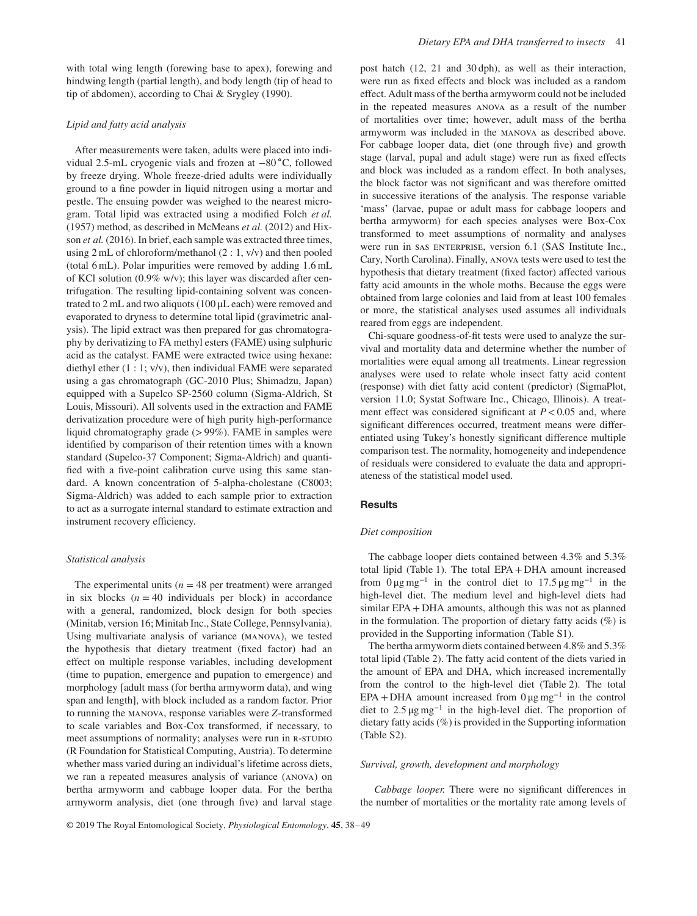with total wing length (forewing base to apex), forewing and hindwing length (partial length), and body length (tip of head to tip of abdomen), according to Chai & Srygley (1990).

#### *Lipid and fatty acid analysis*

After measurements were taken, adults were placed into individual 2.5-mL cryogenic vials and frozen at −80 ∘C, followed by freeze drying. Whole freeze-dried adults were individually ground to a fine powder in liquid nitrogen using a mortar and pestle. The ensuing powder was weighed to the nearest microgram. Total lipid was extracted using a modified Folch *et al.* (1957) method, as described in McMeans *et al.* (2012) and Hixson *et al.* (2016). In brief, each sample was extracted three times, using 2 mL of chloroform/methanol (2 : 1, v/v) and then pooled (total 6 mL). Polar impurities were removed by adding 1.6 mL of KCl solution (0.9% w/v); this layer was discarded after centrifugation. The resulting lipid-containing solvent was concentrated to 2 mL and two aliquots (100 μL each) were removed and evaporated to dryness to determine total lipid (gravimetric analysis). The lipid extract was then prepared for gas chromatography by derivatizing to FA methyl esters (FAME) using sulphuric acid as the catalyst. FAME were extracted twice using hexane: diethyl ether (1 : 1; v/v), then individual FAME were separated using a gas chromatograph (GC-2010 Plus; Shimadzu, Japan) equipped with a Supelco SP-2560 column (Sigma-Aldrich, St Louis, Missouri). All solvents used in the extraction and FAME derivatization procedure were of high purity high-performance liquid chromatography grade (*>*99%). FAME in samples were identified by comparison of their retention times with a known standard (Supelco-37 Component; Sigma-Aldrich) and quantified with a five-point calibration curve using this same standard. A known concentration of 5-alpha-cholestane (C8003; Sigma-Aldrich) was added to each sample prior to extraction to act as a surrogate internal standard to estimate extraction and instrument recovery efficiency.

#### *Statistical analysis*

The experimental units ( $n = 48$  per treatment) were arranged in six blocks  $(n = 40$  individuals per block) in accordance with a general, randomized, block design for both species (Minitab, version 16; Minitab Inc., State College, Pennsylvania). Using multivariate analysis of variance (manova), we tested the hypothesis that dietary treatment (fixed factor) had an effect on multiple response variables, including development (time to pupation, emergence and pupation to emergence) and morphology [adult mass (for bertha armyworm data), and wing span and length], with block included as a random factor. Prior to running the manova, response variables were *Z*-transformed to scale variables and Box-Cox transformed, if necessary, to meet assumptions of normality; analyses were run in R-STUDIO (R Foundation for Statistical Computing, Austria). To determine whether mass varied during an individual's lifetime across diets, we ran a repeated measures analysis of variance (anova) on bertha armyworm and cabbage looper data. For the bertha armyworm analysis, diet (one through five) and larval stage post hatch (12, 21 and 30 dph), as well as their interaction, were run as fixed effects and block was included as a random effect. Adult mass of the bertha armyworm could not be included in the repeated measures anova as a result of the number of mortalities over time; however, adult mass of the bertha armyworm was included in the manova as described above. For cabbage looper data, diet (one through five) and growth stage (larval, pupal and adult stage) were run as fixed effects and block was included as a random effect. In both analyses, the block factor was not significant and was therefore omitted in successive iterations of the analysis. The response variable 'mass' (larvae, pupae or adult mass for cabbage loopers and bertha armyworm) for each species analyses were Box-Cox transformed to meet assumptions of normality and analyses were run in sas ENTERPRISE, version 6.1 (SAS Institute Inc., Cary, North Carolina). Finally, anova tests were used to test the hypothesis that dietary treatment (fixed factor) affected various fatty acid amounts in the whole moths. Because the eggs were obtained from large colonies and laid from at least 100 females or more, the statistical analyses used assumes all individuals reared from eggs are independent.

Chi-square goodness-of-fit tests were used to analyze the survival and mortality data and determine whether the number of mortalities were equal among all treatments. Linear regression analyses were used to relate whole insect fatty acid content (response) with diet fatty acid content (predictor) (SigmaPlot, version 11.0; Systat Software Inc., Chicago, Illinois). A treatment effect was considered significant at *P<*0.05 and, where significant differences occurred, treatment means were differentiated using Tukey's honestly significant difference multiple comparison test. The normality, homogeneity and independence of residuals were considered to evaluate the data and appropriateness of the statistical model used.

#### **Results**

#### *Diet composition*

The cabbage looper diets contained between 4.3% and 5.3% total lipid (Table 1). The total EPA + DHA amount increased from  $0 \mu g mg^{-1}$  in the control diet to 17.5  $\mu g mg^{-1}$  in the high-level diet. The medium level and high-level diets had similar EPA + DHA amounts, although this was not as planned in the formulation. The proportion of dietary fatty acids  $(\%)$  is provided in the Supporting information (Table S1).

The bertha armyworm diets contained between 4.8% and 5.3% total lipid (Table 2). The fatty acid content of the diets varied in the amount of EPA and DHA, which increased incrementally from the control to the high-level diet (Table 2). The total EPA + DHA amount increased from  $0 \mu g mg^{-1}$  in the control diet to 2.5 μg mg<sup>−</sup><sup>1</sup> in the high-level diet. The proportion of dietary fatty acids (%) is provided in the Supporting information (Table S2).

#### *Survival, growth, development and morphology*

*Cabbage looper.* There were no significant differences in the number of mortalities or the mortality rate among levels of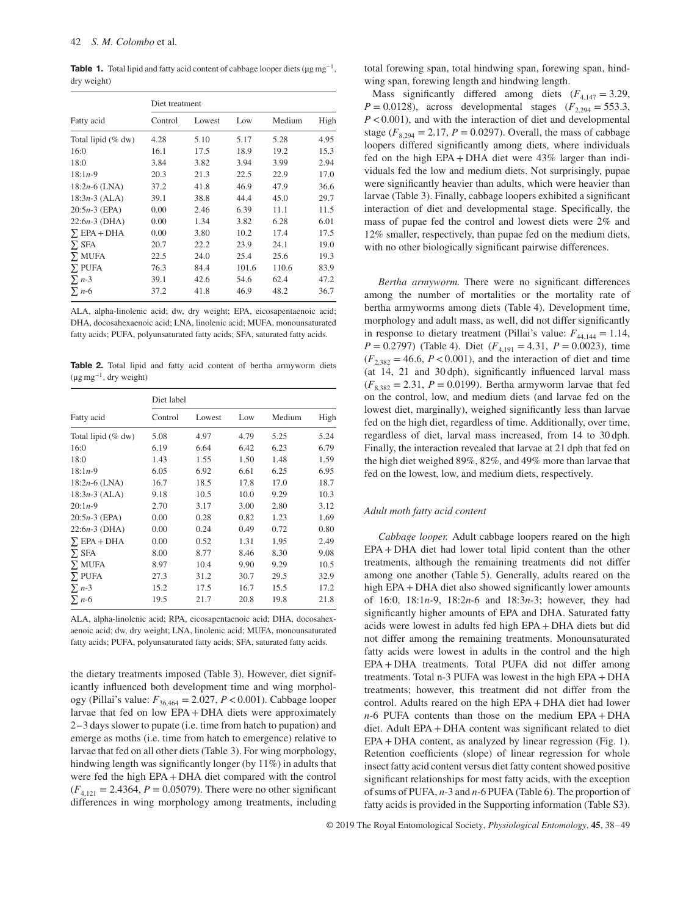**Table 1.** Total lipid and fatty acid content of cabbage looper diets ( $\mu$ g mg<sup>-1</sup>, dry weight)

|                    | Diet treatment |        |       |        |      |  |  |  |  |
|--------------------|----------------|--------|-------|--------|------|--|--|--|--|
| Fatty acid         | Control        | Lowest | Low   | Medium | High |  |  |  |  |
| Total lipid (% dw) | 4.28           | 5.10   | 5.17  | 5.28   | 4.95 |  |  |  |  |
| 16:0               | 16.1           | 17.5   | 18.9  | 19.2   | 15.3 |  |  |  |  |
| 18:0               | 3.84           | 3.82   | 3.94  | 3.99   | 2.94 |  |  |  |  |
| $18:1n-9$          | 20.3           | 21.3   | 22.5  | 22.9   | 17.0 |  |  |  |  |
| $18:2n-6$ (LNA)    | 37.2           | 41.8   | 46.9  | 47.9   | 36.6 |  |  |  |  |
| $18:3n-3$ (ALA)    | 39.1           | 38.8   | 44.4  | 45.0   | 29.7 |  |  |  |  |
| $20:5n-3$ (EPA)    | 0.00           | 2.46   | 6.39  | 11.1   | 11.5 |  |  |  |  |
| $22:6n-3$ (DHA)    | 0.00           | 1.34   | 3.82  | 6.28   | 6.01 |  |  |  |  |
| $\Sigma$ EPA + DHA | 0.00           | 3.80   | 10.2  | 17.4   | 17.5 |  |  |  |  |
| $\Sigma$ SFA       | 20.7           | 22.2   | 23.9  | 24.1   | 19.0 |  |  |  |  |
| $\Sigma$ MUFA      | 22.5           | 24.0   | 25.4  | 25.6   | 19.3 |  |  |  |  |
| $\Sigma$ PUFA      | 76.3           | 84.4   | 101.6 | 110.6  | 83.9 |  |  |  |  |
| $\sum n-3$         | 39.1           | 42.6   | 54.6  | 62.4   | 47.2 |  |  |  |  |
| $\sum n - 6$       | 37.2           | 41.8   | 46.9  | 48.2   | 36.7 |  |  |  |  |

ALA, alpha-linolenic acid; dw, dry weight; EPA, eicosapentaenoic acid; DHA, docosahexaenoic acid; LNA, linolenic acid; MUFA, monounsaturated fatty acids; PUFA, polyunsaturated fatty acids; SFA, saturated fatty acids.

**Table 2.** Total lipid and fatty acid content of bertha armyworm diets (μg mg<sup>−</sup>1, dry weight)

|                    | Diet label |        |      |        |      |
|--------------------|------------|--------|------|--------|------|
| Fatty acid         | Control    | Lowest | Low  | Medium | High |
| Total lipid (% dw) | 5.08       | 4.97   | 4.79 | 5.25   | 5.24 |
| 16:0               | 6.19       | 6.64   | 6.42 | 6.23   | 6.79 |
| 18:0               | 1.43       | 1.55   | 1.50 | 1.48   | 1.59 |
| $18:1n-9$          | 6.05       | 6.92   | 6.61 | 6.25   | 6.95 |
| $18:2n-6$ (LNA)    | 16.7       | 18.5   | 17.8 | 17.0   | 18.7 |
| $18:3n-3$ (ALA)    | 9.18       | 10.5   | 10.0 | 9.29   | 10.3 |
| $20:1n-9$          | 2.70       | 3.17   | 3.00 | 2.80   | 3.12 |
| $20:5n-3$ (EPA)    | 0.00       | 0.28   | 0.82 | 1.23   | 1.69 |
| $22:6n-3$ (DHA)    | 0.00       | 0.24   | 0.49 | 0.72   | 0.80 |
| $\Sigma$ EPA + DHA | 0.00       | 0.52   | 1.31 | 1.95   | 2.49 |
| $\Sigma$ SFA       | 8.00       | 8.77   | 8.46 | 8.30   | 9.08 |
| $\Sigma$ MUFA      | 8.97       | 10.4   | 9.90 | 9.29   | 10.5 |
| $\Sigma$ PUFA      | 27.3       | 31.2   | 30.7 | 29.5   | 32.9 |
| $\sum n-3$         | 15.2       | 17.5   | 16.7 | 15.5   | 17.2 |
| $\Sigma$ n-6       | 19.5       | 21.7   | 20.8 | 19.8   | 21.8 |

ALA, alpha-linolenic acid; RPA, eicosapentaenoic acid; DHA, docosahexaenoic acid; dw, dry weight; LNA, linolenic acid; MUFA, monounsaturated fatty acids; PUFA, polyunsaturated fatty acids; SFA, saturated fatty acids.

the dietary treatments imposed (Table 3). However, diet significantly influenced both development time and wing morphology (Pillai's value:  $F_{36,464} = 2.027, P < 0.001$ ). Cabbage looper larvae that fed on low EPA + DHA diets were approximately 2–3 days slower to pupate (i.e. time from hatch to pupation) and emerge as moths (i.e. time from hatch to emergence) relative to larvae that fed on all other diets (Table 3). For wing morphology, hindwing length was significantly longer (by 11%) in adults that were fed the high EPA + DHA diet compared with the control  $(F_{4,121} = 2.4364, P = 0.05079)$ . There were no other significant differences in wing morphology among treatments, including

total forewing span, total hindwing span, forewing span, hindwing span, forewing length and hindwing length.

Mass significantly differed among diets  $(F_{4,147} = 3.29)$ , *P* = 0.0128), across developmental stages ( $F_{2,294}$  = 553.3, *P<*0.001), and with the interaction of diet and developmental stage ( $F_{8,294} = 2.17$ ,  $P = 0.0297$ ). Overall, the mass of cabbage loopers differed significantly among diets, where individuals fed on the high EPA + DHA diet were 43% larger than individuals fed the low and medium diets. Not surprisingly, pupae were significantly heavier than adults, which were heavier than larvae (Table 3). Finally, cabbage loopers exhibited a significant interaction of diet and developmental stage. Specifically, the mass of pupae fed the control and lowest diets were 2% and 12% smaller, respectively, than pupae fed on the medium diets, with no other biologically significant pairwise differences.

*Bertha armyworm.* There were no significant differences among the number of mortalities or the mortality rate of bertha armyworms among diets (Table 4). Development time, morphology and adult mass, as well, did not differ significantly in response to dietary treatment (Pillai's value:  $F_{44,144} = 1.14$ , *P* = 0.2797) (Table 4). Diet ( $F_{4,191}$  = 4.31, *P* = 0.0023), time  $(F_{2,382} = 46.6, P < 0.001)$ , and the interaction of diet and time (at 14, 21 and 30 dph), significantly influenced larval mass  $(F_{8,382} = 2.31, P = 0.0199)$ . Bertha armyworm larvae that fed on the control, low, and medium diets (and larvae fed on the lowest diet, marginally), weighed significantly less than larvae fed on the high diet, regardless of time. Additionally, over time, regardless of diet, larval mass increased, from 14 to 30 dph. Finally, the interaction revealed that larvae at 21 dph that fed on the high diet weighed 89%, 82%, and 49% more than larvae that fed on the lowest, low, and medium diets, respectively.

#### *Adult moth fatty acid content*

*Cabbage looper.* Adult cabbage loopers reared on the high EPA + DHA diet had lower total lipid content than the other treatments, although the remaining treatments did not differ among one another (Table 5). Generally, adults reared on the high EPA + DHA diet also showed significantly lower amounts of 16:0, 18:1*n*-9, 18:2*n*-6 and 18:3*n*-3; however, they had significantly higher amounts of EPA and DHA. Saturated fatty acids were lowest in adults fed high EPA + DHA diets but did not differ among the remaining treatments. Monounsaturated fatty acids were lowest in adults in the control and the high EPA + DHA treatments. Total PUFA did not differ among treatments. Total n-3 PUFA was lowest in the high EPA + DHA treatments; however, this treatment did not differ from the control. Adults reared on the high EPA + DHA diet had lower *n*-6 PUFA contents than those on the medium EPA + DHA diet. Adult EPA + DHA content was significant related to diet EPA + DHA content, as analyzed by linear regression (Fig. 1). Retention coefficients (slope) of linear regression for whole insect fatty acid content versus diet fatty content showed positive significant relationships for most fatty acids, with the exception of sums of PUFA, *n*-3 and *n*-6 PUFA (Table 6). The proportion of fatty acids is provided in the Supporting information (Table S3).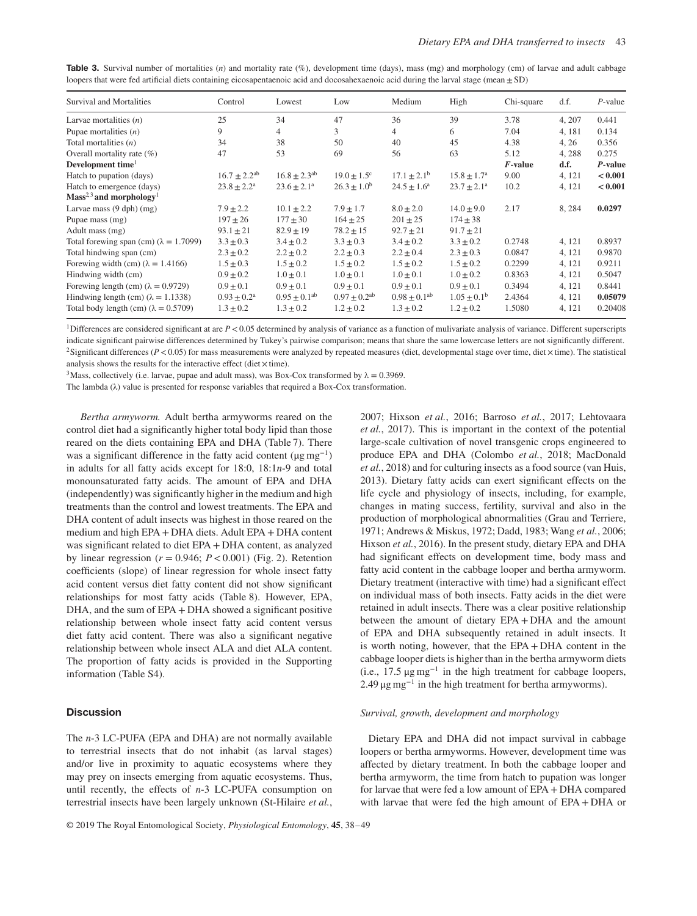| Table 3. Survival number of mortalities $(n)$ and mortality rate $(\%)$ , development time (days), mass (mg) and morphology (cm) of larvae and adult cabbage |  |  |  |  |  |  |
|--------------------------------------------------------------------------------------------------------------------------------------------------------------|--|--|--|--|--|--|
| loopers that were fed artificial diets containing eicosapentaenoic acid and docosahexaenoic acid during the larval stage (mean $\pm$ SD)                     |  |  |  |  |  |  |

| Survival and Mortalities                      | Control                   | Lowest              | Low                          | Medium                 | High                   | Chi-square | d.f.   | $P$ -value |
|-----------------------------------------------|---------------------------|---------------------|------------------------------|------------------------|------------------------|------------|--------|------------|
| Larvae mortalities $(n)$                      | 25                        | 34                  | 47                           | 36                     | 39                     | 3.78       | 4, 207 | 0.441      |
| Pupae mortalities $(n)$                       | 9                         | 4                   | 3                            | $\overline{4}$         | 6                      | 7.04       | 4, 181 | 0.134      |
| Total mortalities $(n)$                       | 34                        | 38                  | 50                           | 40                     | 45                     | 4.38       | 4, 26  | 0.356      |
| Overall mortality rate $(\%)$                 | 47                        | 53                  | 69                           | 56                     | 63                     | 5.12       | 4, 288 | 0.275      |
| Development time <sup>1</sup>                 |                           |                     |                              |                        |                        | $F$ -value | d.f.   | P-value    |
| Hatch to pupation (days)                      | $16.7 \pm 2.2^{ab}$       | $16.8 \pm 2.3^{ab}$ | $19.0 \pm 1.5$ <sup>c</sup>  | $17.1 \pm 2.1^{\rm b}$ | $15.8 \pm 1.7^{\rm a}$ | 9.00       | 4, 121 | < 0.001    |
| Hatch to emergence (days)                     | $23.8 \pm 2.2^a$          | $23.6 \pm 2.1^a$    | $26.3 \pm 1.0^b$             | $24.5 \pm 1.6^a$       | $23.7 \pm 2.1^a$       | 10.2       | 4, 121 | < 0.001    |
| $Mass2,3$ and morphology <sup>1</sup>         |                           |                     |                              |                        |                        |            |        |            |
| Larvae mass $(9 \text{ dph})$ (mg)            | $7.9 \pm 2.2$             | $10.1 \pm 2.2$      | $7.9 \pm 1.7$                | $8.0 \pm 2.0$          | $14.0 \pm 9.0$         | 2.17       | 8, 284 | 0.0297     |
| Pupae mass (mg)                               | $197 \pm 26$              | $177 \pm 30$        | $164 \pm 25$                 | $201 \pm 25$           | $174 \pm 38$           |            |        |            |
| Adult mass (mg)                               | $93.1 \pm 21$             | $82.9 \pm 19$       | $78.2 \pm 15$                | $92.7 \pm 21$          | $91.7 \pm 21$          |            |        |            |
| Total forewing span (cm) $(\lambda = 1.7099)$ | $3.3 \pm 0.3$             | $3.4 \pm 0.2$       | $3.3 \pm 0.3$                | $3.4 \pm 0.2$          | $3.3 \pm 0.2$          | 0.2748     | 4, 121 | 0.8937     |
| Total hindwing span (cm)                      | $2.3 \pm 0.2$             | $2.2 \pm 0.2$       | $2.2 + 0.3$                  | $2.2 \pm 0.4$          | $2.3 + 0.3$            | 0.0847     | 4.121  | 0.9870     |
| Forewing width (cm) $(\lambda = 1.4166)$      | $1.5 \pm 0.3$             | $1.5 \pm 0.2$       | $1.5 \pm 0.2$                | $1.5 \pm 0.2$          | $1.5 \pm 0.2$          | 0.2299     | 4, 121 | 0.9211     |
| Hindwing width (cm)                           | $0.9 \pm 0.2$             | $1.0 \pm 0.1$       | $1.0 \pm 0.1$                | $1.0 \pm 0.1$          | $1.0 \pm 0.2$          | 0.8363     | 4, 121 | 0.5047     |
| Forewing length (cm) $(\lambda = 0.9729)$     | $0.9 \pm 0.1$             | $0.9 \pm 0.1$       | $0.9 \pm 0.1$                | $0.9 \pm 0.1$          | $0.9 \pm 0.1$          | 0.3494     | 4, 121 | 0.8441     |
| Hindwing length (cm) $(\lambda = 1.1338)$     | $0.93 \pm 0.2^{\text{a}}$ | $0.95 \pm 0.1^{ab}$ | $0.97 \pm 0.2$ <sup>ab</sup> | $0.98 \pm 0.1^{ab}$    | $1.05 \pm 0.1^{\rm b}$ | 2.4364     | 4, 121 | 0.05079    |
| Total body length (cm) $(\lambda = 0.5709)$   | $1.3 \pm 0.2$             | $1.3 \pm 0.2$       | $1.2 \pm 0.2$                | $1.3 \pm 0.2$          | $1.2 \pm 0.2$          | 1.5080     | 4, 121 | 0.20408    |

<sup>1</sup>Differences are considered significant at are  $P < 0.05$  determined by analysis of variance as a function of mulivariate analysis of variance. Different superscripts indicate significant pairwise differences determined by Tukey's pairwise comparison; means that share the same lowercase letters are not significantly different. <sup>2</sup>Significant differences ( $P$  < 0.05) for mass measurements were analyzed by repeated measures (diet, developmental stage over time, diet  $\times$  time). The statistical analysis shows the results for the interactive effect (diet  $\times$  time).

<sup>3</sup>Mass, collectively (i.e. larvae, pupae and adult mass), was Box-Cox transformed by  $\lambda = 0.3969$ .

The lambda (λ) value is presented for response variables that required a Box-Cox transformation.

*Bertha armyworm.* Adult bertha armyworms reared on the control diet had a significantly higher total body lipid than those reared on the diets containing EPA and DHA (Table 7). There was a significant difference in the fatty acid content ( $\mu$ g mg<sup>-1</sup>) in adults for all fatty acids except for 18:0, 18:1*n*-9 and total monounsaturated fatty acids. The amount of EPA and DHA (independently) was significantly higher in the medium and high treatments than the control and lowest treatments. The EPA and DHA content of adult insects was highest in those reared on the medium and high EPA + DHA diets. Adult EPA + DHA content was significant related to diet EPA + DHA content, as analyzed by linear regression  $(r = 0.946; P < 0.001)$  (Fig. 2). Retention coefficients (slope) of linear regression for whole insect fatty acid content versus diet fatty content did not show significant relationships for most fatty acids (Table 8). However, EPA, DHA, and the sum of EPA + DHA showed a significant positive relationship between whole insect fatty acid content versus diet fatty acid content. There was also a significant negative relationship between whole insect ALA and diet ALA content. The proportion of fatty acids is provided in the Supporting information (Table S4).

### **Discussion**

The *n*-3 LC-PUFA (EPA and DHA) are not normally available to terrestrial insects that do not inhabit (as larval stages) and/or live in proximity to aquatic ecosystems where they may prey on insects emerging from aquatic ecosystems. Thus, until recently, the effects of *n*-3 LC-PUFA consumption on terrestrial insects have been largely unknown (St-Hilaire *et al.*,

2007; Hixson *et al.*, 2016; Barroso *et al.*, 2017; Lehtovaara *et al.*, 2017). This is important in the context of the potential large-scale cultivation of novel transgenic crops engineered to produce EPA and DHA (Colombo *et al.*, 2018; MacDonald *et al.*, 2018) and for culturing insects as a food source (van Huis, 2013). Dietary fatty acids can exert significant effects on the life cycle and physiology of insects, including, for example, changes in mating success, fertility, survival and also in the production of morphological abnormalities (Grau and Terriere, 1971; Andrews & Miskus, 1972; Dadd, 1983; Wang *et al.*, 2006; Hixson *et al.*, 2016). In the present study, dietary EPA and DHA had significant effects on development time, body mass and fatty acid content in the cabbage looper and bertha armyworm. Dietary treatment (interactive with time) had a significant effect on individual mass of both insects. Fatty acids in the diet were retained in adult insects. There was a clear positive relationship between the amount of dietary EPA + DHA and the amount of EPA and DHA subsequently retained in adult insects. It is worth noting, however, that the EPA + DHA content in the cabbage looper diets is higher than in the bertha armyworm diets (i.e., 17.5  $\mu$ g mg<sup>-1</sup> in the high treatment for cabbage loopers, 2.49  $\mu$ g mg<sup>-1</sup> in the high treatment for bertha armyworms).

#### *Survival, growth, development and morphology*

Dietary EPA and DHA did not impact survival in cabbage loopers or bertha armyworms. However, development time was affected by dietary treatment. In both the cabbage looper and bertha armyworm, the time from hatch to pupation was longer for larvae that were fed a low amount of EPA + DHA compared with larvae that were fed the high amount of EPA + DHA or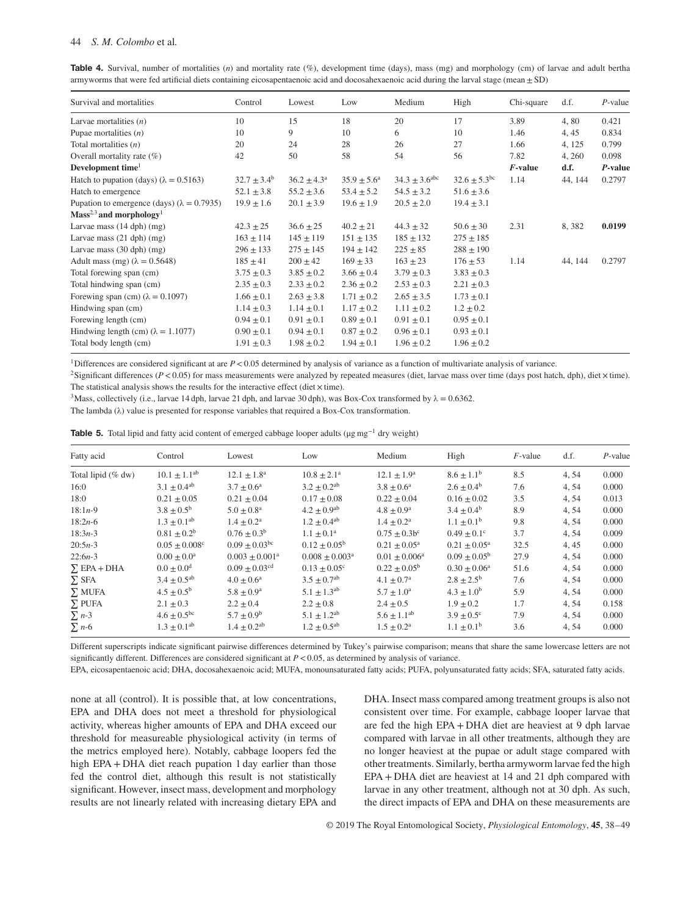| Table 4. Survival, number of mortalities (n) and mortality rate (%), development time (days), mass (mg) and morphology (cm) of larvae and adult bertha |
|--------------------------------------------------------------------------------------------------------------------------------------------------------|
| armyworms that were fed artificial diets containing eicosapentaenoic acid and docosahexaenoic acid during the larval stage (mean $\pm$ SD)             |

| Survival and mortalities                            | Control          | Lowest                 | Low                    | Medium                      | High                         | Chi-square | d.f.    | $P$ -value |
|-----------------------------------------------------|------------------|------------------------|------------------------|-----------------------------|------------------------------|------------|---------|------------|
| Larvae mortalities $(n)$                            | 10               | 15                     | 18                     | 20                          | 17                           | 3.89       | 4,80    | 0.421      |
| Pupae mortalities $(n)$                             | 10               | 9                      | 10                     | 6                           | 10                           | 1.46       | 4, 45   | 0.834      |
| Total mortalities $(n)$                             | 20               | 24                     | 28                     | 26                          | 27                           | 1.66       | 4, 125  | 0.799      |
| Overall mortality rate $(\%)$                       | 42               | 50                     | 58                     | 54                          | 56                           | 7.82       | 4, 260  | 0.098      |
| Development time <sup>1</sup>                       |                  |                        |                        |                             |                              | $F$ -value | d.f.    | P-value    |
| Hatch to pupation (days) ( $\lambda = 0.5163$ )     | $32.7 \pm 3.4^b$ | $36.2 \pm 4.3^{\circ}$ | $35.9 \pm 5.6^{\circ}$ | $34.3 \pm 3.6^{\text{abc}}$ | $32.6 \pm 5.3$ <sup>bc</sup> | 1.14       | 44, 144 | 0.2797     |
| Hatch to emergence                                  | $52.1 \pm 3.8$   | $55.2 \pm 3.6$         | $53.4 \pm 5.2$         | $54.5 \pm 3.2$              | $51.6 \pm 3.6$               |            |         |            |
| Pupation to emergence (days) ( $\lambda = 0.7935$ ) | $19.9 \pm 1.6$   | $20.1 \pm 3.9$         | $19.6 \pm 1.9$         | $20.5 \pm 2.0$              | $19.4 \pm 3.1$               |            |         |            |
| $Mass2,3$ and morphology <sup>1</sup>               |                  |                        |                        |                             |                              |            |         |            |
| Larvae mass $(14 \text{ dph})$ (mg)                 | $42.3 \pm 25$    | $36.6 \pm 25$          | $40.2 \pm 21$          | $44.3 \pm 32$               | $50.6 \pm 30$                | 2.31       | 8,382   | 0.0199     |
| Larvae mass $(21$ dph $)$ (mg)                      | $163 \pm 114$    | $145 \pm 119$          | $151 \pm 135$          | $185 \pm 132$               | $275 \pm 185$                |            |         |            |
| Larvae mass $(30$ dph $)$ (mg)                      | $296 \pm 133$    | $275 \pm 145$          | $194 \pm 142$          | $225 \pm 85$                | $288 \pm 190$                |            |         |            |
| Adult mass (mg) $(\lambda = 0.5648)$                | $185 \pm 41$     | $200 \pm 42$           | $169 \pm 33$           | $163 \pm 23$                | $176 \pm 53$                 | 1.14       | 44, 144 | 0.2797     |
| Total forewing span (cm)                            | $3.75 \pm 0.3$   | $3.85 \pm 0.2$         | $3.66 \pm 0.4$         | $3.79 \pm 0.3$              | $3.83 \pm 0.3$               |            |         |            |
| Total hindwing span (cm)                            | $2.35 \pm 0.3$   | $2.33 \pm 0.2$         | $2.36 \pm 0.2$         | $2.53 \pm 0.3$              | $2.21 \pm 0.3$               |            |         |            |
| Forewing span (cm) $(\lambda = 0.1097)$             | $1.66 \pm 0.1$   | $2.63 \pm 3.8$         | $1.71 \pm 0.2$         | $2.65 \pm 3.5$              | $1.73 \pm 0.1$               |            |         |            |
| Hindwing span (cm)                                  | $1.14 \pm 0.3$   | $1.14 \pm 0.1$         | $1.17 \pm 0.2$         | $1.11 \pm 0.2$              | $1.2 \pm 0.2$                |            |         |            |
| Forewing length (cm)                                | $0.94 \pm 0.1$   | $0.91 \pm 0.1$         | $0.89 \pm 0.1$         | $0.91 \pm 0.1$              | $0.95 \pm 0.1$               |            |         |            |
| Hindwing length (cm) $(\lambda = 1.1077)$           | $0.90 \pm 0.1$   | $0.94 \pm 0.1$         | $0.87 \pm 0.2$         | $0.96 \pm 0.1$              | $0.93 \pm 0.1$               |            |         |            |
| Total body length (cm)                              | $1.91 \pm 0.3$   | $1.98 \pm 0.2$         | $1.94 \pm 0.1$         | $1.96 \pm 0.2$              | $1.96 \pm 0.2$               |            |         |            |

<sup>1</sup>Differences are considered significant at are  $P < 0.05$  determined by analysis of variance as a function of multivariate analysis of variance.

<sup>2</sup>Significant differences ( $P$  < 0.05) for mass measurements were analyzed by repeated measures (diet, larvae mass over time (days post hatch, dph), diet  $\times$  time). The statistical analysis shows the results for the interactive effect (diet $\times$  time).

<sup>3</sup>Mass, collectively (i.e., larvae 14 dph, larvae 21 dph, and larvae 30 dph), was Box-Cox transformed by  $\lambda = 0.6362$ .

The lambda (λ) value is presented for response variables that required a Box-Cox transformation.

|  |  |  |  | <b>Table 5.</b> Total lipid and fatty acid content of emerged cabbage looper adults ( $\mu$ g mg <sup>-1</sup> dry weight) |  |
|--|--|--|--|----------------------------------------------------------------------------------------------------------------------------|--|
|--|--|--|--|----------------------------------------------------------------------------------------------------------------------------|--|

| Fatty acid         | Control                   | Lowest                      | Low                            | Medium                   | High                       | $F$ -value | d.f.  | $P$ -value |
|--------------------|---------------------------|-----------------------------|--------------------------------|--------------------------|----------------------------|------------|-------|------------|
| Total lipid (% dw) | $10.1 \pm 1.1^{ab}$       | $12.1 \pm 1.8^a$            | $10.8 \pm 2.1^{\text{a}}$      | $12.1 \pm 1.9^{\circ}$   | $8.6 \pm 1.1^{\rm b}$      | 8.5        | 4, 54 | 0.000      |
| 16:0               | $3.1 \pm 0.4^{ab}$        | $3.7 + 0.6^a$               | $3.2 \pm 0.2^{ab}$             | $3.8 \pm 0.6^a$          | $2.6 \pm 0.4^{\rm b}$      | 7.6        | 4,54  | 0.000      |
| 18:0               | $0.21 + 0.05$             | $0.21 + 0.04$               | $0.17 + 0.08$                  | $0.22 + 0.04$            | $0.16 + 0.02$              | 3.5        | 4,54  | 0.013      |
| $18:1n-9$          | $3.8 \pm 0.5^{\rm b}$     | $5.0 \pm 0.8^{\text{a}}$    | $4.2 \pm 0.9^{ab}$             | $4.8 \pm 0.9^{\rm a}$    | $3.4 \pm 0.4^{\rm b}$      | 8.9        | 4, 54 | 0.000      |
| $18:2n-6$          | $1.3 \pm 0.1^{ab}$        | $1.4 \pm 0.2^{\text{a}}$    | $1.2 \pm 0.4$ <sup>ab</sup>    | $1.4 \pm 0.2^{\text{a}}$ | $1.1 \pm 0.1^{\rm b}$      | 9.8        | 4,54  | 0.000      |
| $18:3n-3$          | $0.81 \pm 0.2^b$          | $0.76 + 0.3^b$              | $1.1 \pm 0.1^{\text{a}}$       | $0.75 + 0.3b^c$          | $0.49 + 0.1^{\circ}$       | 3.7        | 4,54  | 0.009      |
| $20:5n-3$          | $0.05 + 0.008^{\circ}$    | $0.09 + 0.03$ <sup>bc</sup> | $0.12 + 0.05^{\rm b}$          | $0.21 + 0.05^a$          | $0.21 \pm 0.05^{\text{a}}$ | 32.5       | 4, 45 | 0.000      |
| $22:6n-3$          | $0.00 \pm 0.0^{\text{a}}$ | $0.003 \pm 0.001^a$         | $0.008 \pm 0.003$ <sup>a</sup> | $0.01 \pm 0.006^a$       | $0.09 \pm 0.05^{\rm b}$    | 27.9       | 4,54  | 0.000      |
| $\Sigma$ EPA + DHA | $0.0 + 0.0^d$             | $0.09 + 0.03$ <sup>cd</sup> | $0.13 \pm 0.05^{\circ}$        | $0.22 \pm 0.05^{\rm b}$  | $0.30 + 0.06^a$            | 51.6       | 4,54  | 0.000      |
| $\Sigma$ SFA       | $3.4 \pm 0.5^{ab}$        | $4.0 + 0.6^a$               | $3.5 + 0.7$ <sup>ab</sup>      | $4.1 + 0.7^{\rm a}$      | $2.8 + 2.5^{\rm b}$        | 7.6        | 4,54  | 0.000      |
| $\Sigma$ MUFA      | $4.5 \pm 0.5^{\rm b}$     | $5.8 \pm 0.9^{\rm a}$       | $5.1 \pm 1.3^{ab}$             | $5.7 \pm 1.0^{\circ}$    | $4.3 \pm 1.0^{\rm b}$      | 5.9        | 4,54  | 0.000      |
| $\Sigma$ PUFA      | $2.1 \pm 0.3$             | $2.2 \pm 0.4$               | $2.2 \pm 0.8$                  | $2.4 \pm 0.5$            | $1.9 + 0.2$                | 1.7        | 4, 54 | 0.158      |
| $\sum n-3$         | $4.6 \pm 0.5^{\rm bc}$    | $5.7 \pm 0.9^b$             | $5.1 + 1.2^{ab}$               | $5.6 \pm 1.1^{ab}$       | $3.9 \pm 0.5^{\circ}$      | 7.9        | 4, 54 | 0.000      |
| $\sum$ n-6         | $1.3 \pm 0.1^{ab}$        | $1.4 \pm 0.2$ <sup>ab</sup> | $1.2 \pm 0.5^{ab}$             | $1.5 \pm 0.2^{\text{a}}$ | $1.1 \pm 0.1^{\rm b}$      | 3.6        | 4,54  | 0.000      |

Different superscripts indicate significant pairwise differences determined by Tukey's pairwise comparison; means that share the same lowercase letters are not significantly different. Differences are considered significant at *P<*0.05, as determined by analysis of variance.

EPA, eicosapentaenoic acid; DHA, docosahexaenoic acid; MUFA, monounsaturated fatty acids; PUFA, polyunsaturated fatty acids; SFA, saturated fatty acids.

none at all (control). It is possible that, at low concentrations, EPA and DHA does not meet a threshold for physiological activity, whereas higher amounts of EPA and DHA exceed our threshold for measureable physiological activity (in terms of the metrics employed here). Notably, cabbage loopers fed the high EPA + DHA diet reach pupation 1 day earlier than those fed the control diet, although this result is not statistically significant. However, insect mass, development and morphology results are not linearly related with increasing dietary EPA and DHA. Insect mass compared among treatment groups is also not consistent over time. For example, cabbage looper larvae that are fed the high EPA + DHA diet are heaviest at 9 dph larvae compared with larvae in all other treatments, although they are no longer heaviest at the pupae or adult stage compared with other treatments. Similarly, bertha armyworm larvae fed the high EPA + DHA diet are heaviest at 14 and 21 dph compared with larvae in any other treatment, although not at 30 dph. As such, the direct impacts of EPA and DHA on these measurements are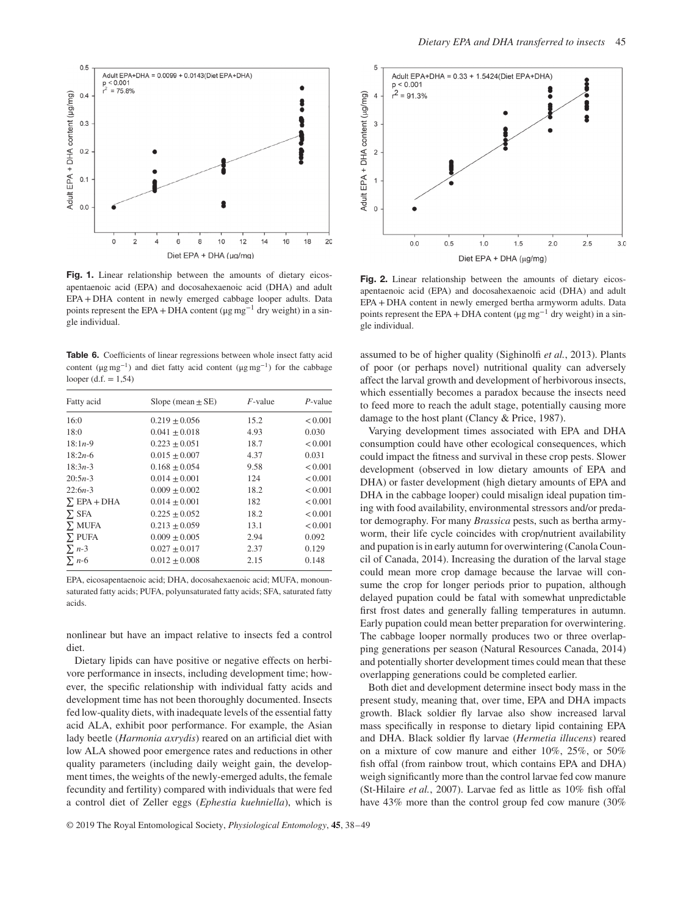

Fig. 1. Linear relationship between the amounts of dietary eicosapentaenoic acid (EPA) and docosahexaenoic acid (DHA) and adult EPA + DHA content in newly emerged cabbage looper adults. Data points represent the EPA + DHA content ( $\mu$ g mg<sup>-1</sup> dry weight) in a single individual.

**Table 6.** Coefficients of linear regressions between whole insect fatty acid content ( $\mu$ g mg<sup>-1</sup>) and diet fatty acid content ( $\mu$ g mg<sup>-1</sup>) for the cabbage looper  $(d.f. = 1,54)$ 

| Fatty acid         | Slope (mean $\pm$ SE) | $F$ -value | $P$ -value |
|--------------------|-----------------------|------------|------------|
| 16:0               | $0.219 \pm 0.056$     | 15.2       | < 0.001    |
| 18:0               | $0.041 \pm 0.018$     | 4.93       | 0.030      |
| $18:1n-9$          | $0.223 + 0.051$       | 18.7       | < 0.001    |
| $18:2n-6$          | $0.015 \pm 0.007$     | 4.37       | 0.031      |
| $18:3n-3$          | $0.168 + 0.054$       | 9.58       | < 0.001    |
| $20:5n-3$          | $0.014 + 0.001$       | 124        | < 0.001    |
| $22:6n-3$          | $0.009 + 0.002$       | 18.2       | < 0.001    |
| $\Sigma$ EPA + DHA | $0.014 + 0.001$       | 182        | < 0.001    |
| $\Sigma$ SFA       | $0.225 + 0.052$       | 18.2       | < 0.001    |
| $\Sigma$ MUFA      | $0.213 + 0.059$       | 13.1       | < 0.001    |
| $\Sigma$ PUFA      | $0.009 \pm 0.005$     | 2.94       | 0.092      |
| $\sum n-3$         | $0.027 \pm 0.017$     | 2.37       | 0.129      |
| $\sum n-6$         | $0.012 \pm 0.008$     | 2.15       | 0.148      |

EPA, eicosapentaenoic acid; DHA, docosahexaenoic acid; MUFA, monounsaturated fatty acids; PUFA, polyunsaturated fatty acids; SFA, saturated fatty acids.

nonlinear but have an impact relative to insects fed a control diet.

Dietary lipids can have positive or negative effects on herbivore performance in insects, including development time; however, the specific relationship with individual fatty acids and development time has not been thoroughly documented. Insects fed low-quality diets, with inadequate levels of the essential fatty acid ALA, exhibit poor performance. For example, the Asian lady beetle (*Harmonia axrydis*) reared on an artificial diet with low ALA showed poor emergence rates and reductions in other quality parameters (including daily weight gain, the development times, the weights of the newly-emerged adults, the female fecundity and fertility) compared with individuals that were fed a control diet of Zeller eggs (*Ephestia kuehniella*), which is



**Fig. 2.** Linear relationship between the amounts of dietary eicosapentaenoic acid (EPA) and docosahexaenoic acid (DHA) and adult EPA + DHA content in newly emerged bertha armyworm adults. Data points represent the EPA + DHA content (μg mg−<sup>1</sup> dry weight) in a single individual.

assumed to be of higher quality (Sighinolfi *et al.*, 2013). Plants of poor (or perhaps novel) nutritional quality can adversely affect the larval growth and development of herbivorous insects, which essentially becomes a paradox because the insects need to feed more to reach the adult stage, potentially causing more damage to the host plant (Clancy & Price, 1987).

Varying development times associated with EPA and DHA consumption could have other ecological consequences, which could impact the fitness and survival in these crop pests. Slower development (observed in low dietary amounts of EPA and DHA) or faster development (high dietary amounts of EPA and DHA in the cabbage looper) could misalign ideal pupation timing with food availability, environmental stressors and/or predator demography. For many *Brassica* pests, such as bertha armyworm, their life cycle coincides with crop/nutrient availability and pupation is in early autumn for overwintering (Canola Council of Canada, 2014). Increasing the duration of the larval stage could mean more crop damage because the larvae will consume the crop for longer periods prior to pupation, although delayed pupation could be fatal with somewhat unpredictable first frost dates and generally falling temperatures in autumn. Early pupation could mean better preparation for overwintering. The cabbage looper normally produces two or three overlapping generations per season (Natural Resources Canada, 2014) and potentially shorter development times could mean that these overlapping generations could be completed earlier.

Both diet and development determine insect body mass in the present study, meaning that, over time, EPA and DHA impacts growth. Black soldier fly larvae also show increased larval mass specifically in response to dietary lipid containing EPA and DHA. Black soldier fly larvae (*Hermetia illucens*) reared on a mixture of cow manure and either 10%, 25%, or 50% fish offal (from rainbow trout, which contains EPA and DHA) weigh significantly more than the control larvae fed cow manure (St-Hilaire *et al.*, 2007). Larvae fed as little as 10% fish offal have 43% more than the control group fed cow manure (30%)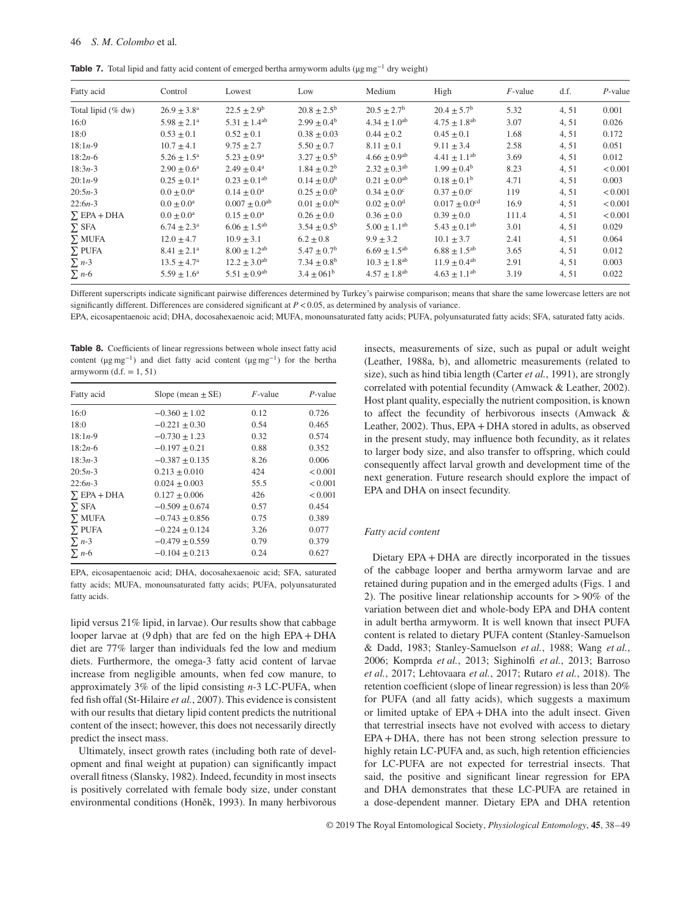**Table 7.** Total lipid and fatty acid content of emerged bertha armyworm adults (μg mg−<sup>1</sup> dry weight)

| Fatty acid         | Control                   | Lowest                       | Low                         | Medium                       | High                          | $F$ -value | d.f.  | $P$ -value |
|--------------------|---------------------------|------------------------------|-----------------------------|------------------------------|-------------------------------|------------|-------|------------|
| Total lipid (% dw) | $26.9 \pm 3.8^{\text{a}}$ | $22.5 \pm 2.9^b$             | $20.8 \pm 2.5^{\rm b}$      | $20.5 + 2.7^{\rm b}$         | $20.4 + 5.7^b$                | 5.32       | 4, 51 | 0.001      |
| 16:0               | $5.98 \pm 2.1^a$          | $5.31 \pm 1.4^{ab}$          | $2.99 \pm 0.4^{\rm b}$      | $4.34 \pm 1.0$ <sup>ab</sup> | $4.75 \pm 1.8$ <sup>ab</sup>  | 3.07       | 4, 51 | 0.026      |
| 18:0               | $0.53 \pm 0.1$            | $0.52 \pm 0.1$               | $0.38 \pm 0.03$             | $0.44 + 0.2$                 | $0.45 + 0.1$                  | 1.68       | 4,51  | 0.172      |
| $18:1n-9$          | $10.7 \pm 4.1$            | $9.75 \pm 2.7$               | $5.50 \pm 0.7$              | $8.11 \pm 0.1$               | $9.11 \pm 3.4$                | 2.58       | 4, 51 | 0.051      |
| $18:2n-6$          | $5.26 \pm 1.5^{\text{a}}$ | $5.23 + 0.9^a$               | $3.27 \pm 0.5^{\rm b}$      | $4.66 + 0.9$ <sup>ab</sup>   | $4.41 + 1.1^{ab}$             | 3.69       | 4,51  | 0.012      |
| $18:3n-3$          | $2.90 + 0.6^a$            | $2.49 + 0.4^a$               | $1.84 + 0.2^b$              | $2.32 + 0.3^{ab}$            | $1.99 + 0.4^b$                | 8.23       | 4,51  | < 0.001    |
| $20:1n-9$          | $0.25 \pm 0.1^a$          | $0.23 \pm 0.1^{ab}$          | $0.14 \pm 0.0^b$            | $0.21 \pm 0.0$ <sup>ab</sup> | $0.18 \pm 0.1^{\rm b}$        | 4.71       | 4, 51 | 0.003      |
| $20:5n-3$          | $0.0 + 0.0^a$             | $0.14 + 0.0^a$               | $0.25 + 0.0^b$              | $0.34 + 0.0^{\circ}$         | $0.37 + 0.0^{\circ}$          | 119        | 4, 51 | < 0.001    |
| $22:6n-3$          | $0.0 \pm 0.0^{\text{a}}$  | $0.007 \pm 0.0^{ab}$         | $0.01 \pm 0.0^{bc}$         | $0.02 \pm 0.0$ <sup>d</sup>  | $0.017 \pm 0.0$ <sup>cd</sup> | 16.9       | 4, 51 | < 0.001    |
| $\Sigma$ EPA + DHA | $0.0 \pm 0.0^{\text{a}}$  | $0.15 + 0.0^a$               | $0.26 + 0.0$                | $0.36 + 0.0$                 | $0.39 + 0.0$                  | 111.4      | 4,51  | < 0.001    |
| $\Sigma$ SFA       | $6.74 \pm 2.3^{\text{a}}$ | $6.06 \pm 1.5$ <sup>ab</sup> | $3.54 \pm 0.5^{\rm b}$      | $5.00 \pm 1.1^{ab}$          | $5.43 \pm 0.1^{ab}$           | 3.01       | 4, 51 | 0.029      |
| $\Sigma$ MUFA      | $12.0 + 4.7$              | $10.9 + 3.1$                 | $6.2 \pm 0.8$               | $9.9 + 3.2$                  | $10.1 + 3.7$                  | 2.41       | 4, 51 | 0.064      |
| $\Sigma$ PUFA      | $8.41 \pm 2.1^a$          | $8.00 + 1.2$ <sup>ab</sup>   | $5.47 \pm 0.7$ <sup>b</sup> | $6.69 + 1.5$ <sup>ab</sup>   | $6.88 + 1.5^{ab}$             | 3.65       | 4, 51 | 0.012      |
| $\sum n-3$         | $13.5 \pm 4.7^{\rm a}$    | $12.2 \pm 3.0^{ab}$          | $7.34 \pm 0.8^{\rm b}$      | $10.3 \pm 1.8$ <sup>ab</sup> | $11.9 \pm 0.4^{ab}$           | 2.91       | 4, 51 | 0.003      |
| $\Sigma$ n-6       | $5.59 \pm 1.6^a$          | $5.51 \pm 0.9$ <sup>ab</sup> | $3.4 \pm 061^b$             | $4.57 \pm 1.8$ <sup>ab</sup> | $4.63 \pm 1.1^{ab}$           | 3.19       | 4, 51 | 0.022      |

Different superscripts indicate significant pairwise differences determined by Turkey's pairwise comparison; means that share the same lowercase letters are not significantly different. Differences are considered significant at *P<*0.05, as determined by analysis of variance.

EPA, eicosapentaenoic acid; DHA, docosahexaenoic acid; MUFA, monounsaturated fatty acids; PUFA, polyunsaturated fatty acids; SFA, saturated fatty acids.

**Table 8.** Coefficients of linear regressions between whole insect fatty acid content ( $\mu$ g mg<sup>-1</sup>) and diet fatty acid content ( $\mu$ g mg<sup>-1</sup>) for the bertha armyworm  $(d.f. = 1, 51)$ 

| Fatty acid         | Slope (mean $\pm$ SE) | $F$ -value | $P$ -value |
|--------------------|-----------------------|------------|------------|
| 16:0               | $-0.360 \pm 1.02$     | 0.12       | 0.726      |
| 18:0               | $-0.221 + 0.30$       | 0.54       | 0.465      |
| $18:1n-9$          | $-0.730 \pm 1.23$     | 0.32       | 0.574      |
| $18:2n-6$          | $-0.197 \pm 0.21$     | 0.88       | 0.352      |
| $18:3n-3$          | $-0.387 \pm 0.135$    | 8.26       | 0.006      |
| $20:5n-3$          | $0.213 \pm 0.010$     | 424        | < 0.001    |
| $22:6n-3$          | $0.024 \pm 0.003$     | 55.5       | < 0.001    |
| $\Sigma$ EPA + DHA | $0.127 \pm 0.006$     | 426        | < 0.001    |
| $\Sigma$ SFA       | $-0.509 \pm 0.674$    | 0.57       | 0.454      |
| $\Sigma$ MUFA      | $-0.743 \pm 0.856$    | 0.75       | 0.389      |
| $\Sigma$ PUFA      | $-0.224 \pm 0.124$    | 3.26       | 0.077      |
| $\sum n-3$         | $-0.479 + 0.559$      | 0.79       | 0.379      |
| $\Sigma$ n-6       | $-0.104 \pm 0.213$    | 0.24       | 0.627      |

EPA, eicosapentaenoic acid; DHA, docosahexaenoic acid; SFA, saturated fatty acids; MUFA, monounsaturated fatty acids; PUFA, polyunsaturated fatty acids.

lipid versus 21% lipid, in larvae). Our results show that cabbage looper larvae at (9 dph) that are fed on the high EPA + DHA diet are 77% larger than individuals fed the low and medium diets. Furthermore, the omega-3 fatty acid content of larvae increase from negligible amounts, when fed cow manure, to approximately 3% of the lipid consisting *n*-3 LC-PUFA, when fed fish offal (St-Hilaire *et al.*, 2007). This evidence is consistent with our results that dietary lipid content predicts the nutritional content of the insect; however, this does not necessarily directly predict the insect mass.

Ultimately, insect growth rates (including both rate of development and final weight at pupation) can significantly impact overall fitness (Slansky, 1982). Indeed, fecundity in most insects is positively correlated with female body size, under constant environmental conditions (Honěk, 1993). In many herbivorous insects, measurements of size, such as pupal or adult weight (Leather, 1988a, b), and allometric measurements (related to size), such as hind tibia length (Carter *et al.*, 1991), are strongly correlated with potential fecundity (Amwack & Leather, 2002). Host plant quality, especially the nutrient composition, is known to affect the fecundity of herbivorous insects (Amwack & Leather, 2002). Thus, EPA + DHA stored in adults, as observed in the present study, may influence both fecundity, as it relates to larger body size, and also transfer to offspring, which could consequently affect larval growth and development time of the next generation. Future research should explore the impact of EPA and DHA on insect fecundity.

#### *Fatty acid content*

Dietary EPA + DHA are directly incorporated in the tissues of the cabbage looper and bertha armyworm larvae and are retained during pupation and in the emerged adults (Figs. 1 and 2). The positive linear relationship accounts for *>*90% of the variation between diet and whole-body EPA and DHA content in adult bertha armyworm. It is well known that insect PUFA content is related to dietary PUFA content (Stanley-Samuelson & Dadd, 1983; Stanley-Samuelson *et al.*, 1988; Wang *et al.*, 2006; Komprda *et al.*, 2013; Sighinolfi *et al.*, 2013; Barroso *et al.*, 2017; Lehtovaara *et al.*, 2017; Rutaro *et al.*, 2018). The retention coefficient (slope of linear regression) is less than 20% for PUFA (and all fatty acids), which suggests a maximum or limited uptake of EPA + DHA into the adult insect. Given that terrestrial insects have not evolved with access to dietary EPA + DHA, there has not been strong selection pressure to highly retain LC-PUFA and, as such, high retention efficiencies for LC-PUFA are not expected for terrestrial insects. That said, the positive and significant linear regression for EPA and DHA demonstrates that these LC-PUFA are retained in a dose-dependent manner. Dietary EPA and DHA retention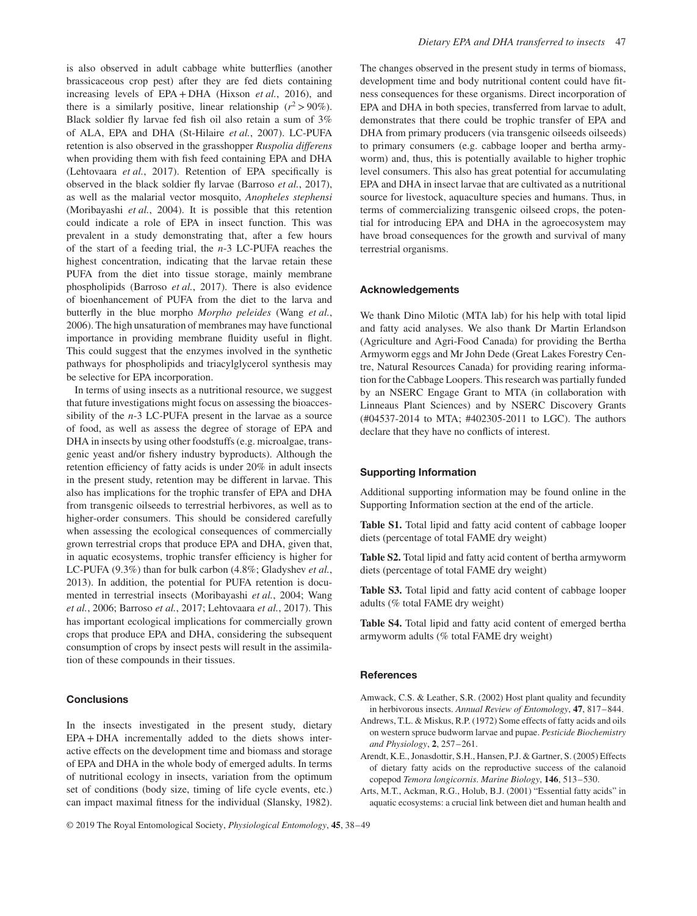is also observed in adult cabbage white butterflies (another brassicaceous crop pest) after they are fed diets containing increasing levels of EPA + DHA (Hixson *et al.*, 2016), and there is a similarly positive, linear relationship  $(r^2 > 90\%)$ . Black soldier fly larvae fed fish oil also retain a sum of 3% of ALA, EPA and DHA (St-Hilaire *et al.*, 2007). LC-PUFA retention is also observed in the grasshopper *Ruspolia differens* when providing them with fish feed containing EPA and DHA (Lehtovaara *et al.*, 2017). Retention of EPA specifically is observed in the black soldier fly larvae (Barroso *et al.*, 2017), as well as the malarial vector mosquito, *Anopheles stephensi* (Moribayashi *et al.*, 2004). It is possible that this retention could indicate a role of EPA in insect function. This was prevalent in a study demonstrating that, after a few hours of the start of a feeding trial, the *n*-3 LC-PUFA reaches the highest concentration, indicating that the larvae retain these PUFA from the diet into tissue storage, mainly membrane phospholipids (Barroso *et al.*, 2017). There is also evidence of bioenhancement of PUFA from the diet to the larva and butterfly in the blue morpho *Morpho peleides* (Wang *et al.*, 2006). The high unsaturation of membranes may have functional importance in providing membrane fluidity useful in flight. This could suggest that the enzymes involved in the synthetic pathways for phospholipids and triacylglycerol synthesis may be selective for EPA incorporation.

In terms of using insects as a nutritional resource, we suggest that future investigations might focus on assessing the bioaccessibility of the *n*-3 LC-PUFA present in the larvae as a source of food, as well as assess the degree of storage of EPA and DHA in insects by using other foodstuffs (e.g. microalgae, transgenic yeast and/or fishery industry byproducts). Although the retention efficiency of fatty acids is under 20% in adult insects in the present study, retention may be different in larvae. This also has implications for the trophic transfer of EPA and DHA from transgenic oilseeds to terrestrial herbivores, as well as to higher-order consumers. This should be considered carefully when assessing the ecological consequences of commercially grown terrestrial crops that produce EPA and DHA, given that, in aquatic ecosystems, trophic transfer efficiency is higher for LC-PUFA (9.3%) than for bulk carbon (4.8%; Gladyshev *et al.*, 2013). In addition, the potential for PUFA retention is documented in terrestrial insects (Moribayashi *et al.*, 2004; Wang *et al.*, 2006; Barroso *et al.*, 2017; Lehtovaara *et al.*, 2017). This has important ecological implications for commercially grown crops that produce EPA and DHA, considering the subsequent consumption of crops by insect pests will result in the assimilation of these compounds in their tissues.

#### **Conclusions**

In the insects investigated in the present study, dietary EPA + DHA incrementally added to the diets shows interactive effects on the development time and biomass and storage of EPA and DHA in the whole body of emerged adults. In terms of nutritional ecology in insects, variation from the optimum set of conditions (body size, timing of life cycle events, etc.) can impact maximal fitness for the individual (Slansky, 1982). The changes observed in the present study in terms of biomass, development time and body nutritional content could have fitness consequences for these organisms. Direct incorporation of EPA and DHA in both species, transferred from larvae to adult, demonstrates that there could be trophic transfer of EPA and DHA from primary producers (via transgenic oilseeds oilseeds) to primary consumers (e.g. cabbage looper and bertha armyworm) and, thus, this is potentially available to higher trophic level consumers. This also has great potential for accumulating EPA and DHA in insect larvae that are cultivated as a nutritional source for livestock, aquaculture species and humans. Thus, in terms of commercializing transgenic oilseed crops, the potential for introducing EPA and DHA in the agroecosystem may have broad consequences for the growth and survival of many terrestrial organisms.

#### **Acknowledgements**

We thank Dino Milotic (MTA lab) for his help with total lipid and fatty acid analyses. We also thank Dr Martin Erlandson (Agriculture and Agri-Food Canada) for providing the Bertha Armyworm eggs and Mr John Dede (Great Lakes Forestry Centre, Natural Resources Canada) for providing rearing information for the Cabbage Loopers. This research was partially funded by an NSERC Engage Grant to MTA (in collaboration with Linneaus Plant Sciences) and by NSERC Discovery Grants (#04537-2014 to MTA; #402305-2011 to LGC). The authors declare that they have no conflicts of interest.

#### **Supporting Information**

Additional supporting information may be found online in the Supporting Information section at the end of the article.

**Table S1.** Total lipid and fatty acid content of cabbage looper diets (percentage of total FAME dry weight)

**Table S2.** Total lipid and fatty acid content of bertha armyworm diets (percentage of total FAME dry weight)

**Table S3.** Total lipid and fatty acid content of cabbage looper adults (% total FAME dry weight)

**Table S4.** Total lipid and fatty acid content of emerged bertha armyworm adults (% total FAME dry weight)

#### **References**

Amwack, C.S. & Leather, S.R. (2002) Host plant quality and fecundity in herbivorous insects. *Annual Review of Entomology*, **47**, 817–844.

- Andrews, T.L. & Miskus, R.P. (1972) Some effects of fatty acids and oils on western spruce budworm larvae and pupae. *Pesticide Biochemistry and Physiology*, **2**, 257–261.
- Arendt, K.E., Jonasdottir, S.H., Hansen, P.J. & Gartner, S. (2005) Effects of dietary fatty acids on the reproductive success of the calanoid copepod *Temora longicornis*. *Marine Biology*, **146**, 513–530.
- Arts, M.T., Ackman, R.G., Holub, B.J. (2001) "Essential fatty acids" in aquatic ecosystems: a crucial link between diet and human health and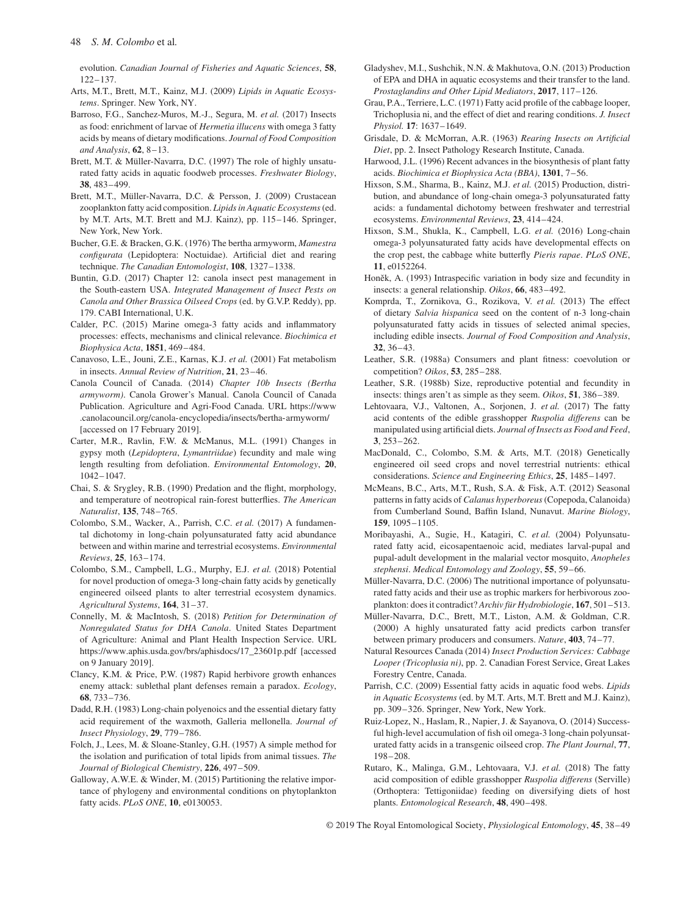evolution. *Canadian Journal of Fisheries and Aquatic Sciences*, **58**, 122–137.

- Arts, M.T., Brett, M.T., Kainz, M.J. (2009) *Lipids in Aquatic Ecosystems*. Springer. New York, NY.
- Barroso, F.G., Sanchez-Muros, M.-J., Segura, M. *et al.* (2017) Insects as food: enrichment of larvae of *Hermetia illucens* with omega 3 fatty acids by means of dietary modifications. *Journal of Food Composition and Analysis*, **62**, 8–13.
- Brett, M.T. & Müller-Navarra, D.C. (1997) The role of highly unsaturated fatty acids in aquatic foodweb processes. *Freshwater Biology*, **38**, 483–499.
- Brett, M.T., Müller-Navarra, D.C. & Persson, J. (2009) Crustacean zooplankton fatty acid composition. *Lipids in Aquatic Ecosystems*(ed. by M.T. Arts, M.T. Brett and M.J. Kainz), pp. 115–146. Springer, New York, New York.
- Bucher, G.E. & Bracken, G.K. (1976) The bertha armyworm, *Mamestra configurata* (Lepidoptera: Noctuidae). Artificial diet and rearing technique. *The Canadian Entomologist*, **108**, 1327–1338.
- Buntin, G.D. (2017) Chapter 12: canola insect pest management in the South-eastern USA. *Integrated Management of Insect Pests on Canola and Other Brassica Oilseed Crops* (ed. by G.V.P. Reddy), pp. 179. CABI International, U.K.
- Calder, P.C. (2015) Marine omega-3 fatty acids and inflammatory processes: effects, mechanisms and clinical relevance. *Biochimica et Biophysica Acta*, **1851**, 469–484.
- Canavoso, L.E., Jouni, Z.E., Karnas, K.J. *et al.* (2001) Fat metabolism in insects. *Annual Review of Nutrition*, **21**, 23–46.
- Canola Council of Canada. (2014) *Chapter 10b Insects (Bertha armyworm)*. Canola Grower's Manual. Canola Council of Canada Publication. Agriculture and Agri-Food Canada. URL [https://www](https://www.canolacouncil.org/canola-encyclopedia/insects/bertha-armyworm/) [.canolacouncil.org/canola-encyclopedia/insects/bertha-armyworm/](https://www.canolacouncil.org/canola-encyclopedia/insects/bertha-armyworm/) [accessed on 17 February 2019].
- Carter, M.R., Ravlin, F.W. & McManus, M.L. (1991) Changes in gypsy moth (*Lepidoptera*, *Lymantriidae*) fecundity and male wing length resulting from defoliation. *Environmental Entomology*, **20**, 1042–1047.
- Chai, S. & Srygley, R.B. (1990) Predation and the flight, morphology, and temperature of neotropical rain-forest butterflies. *The American Naturalist*, **135**, 748–765.
- Colombo, S.M., Wacker, A., Parrish, C.C. *et al.* (2017) A fundamental dichotomy in long-chain polyunsaturated fatty acid abundance between and within marine and terrestrial ecosystems. *Environmental Reviews*, **25**, 163–174.
- Colombo, S.M., Campbell, L.G., Murphy, E.J. *et al.* (2018) Potential for novel production of omega-3 long-chain fatty acids by genetically engineered oilseed plants to alter terrestrial ecosystem dynamics. *Agricultural Systems*, **164**, 31–37.
- Connelly, M. & MacIntosh, S. (2018) *Petition for Determination of Nonregulated Status for DHA Canola*. United States Department of Agriculture: Animal and Plant Health Inspection Service. URL [https://www.aphis.usda.gov/brs/aphisdocs/17\\_23601p.pdf](https://www.aphis.usda.gov/brs/aphisdocs/17_23601p.pdf) [accessed on 9 January 2019].
- Clancy, K.M. & Price, P.W. (1987) Rapid herbivore growth enhances enemy attack: sublethal plant defenses remain a paradox. *Ecology*, **68**, 733–736.
- Dadd, R.H. (1983) Long-chain polyenoics and the essential dietary fatty acid requirement of the waxmoth, Galleria mellonella. *Journal of Insect Physiology*, **29**, 779–786.
- Folch, J., Lees, M. & Sloane-Stanley, G.H. (1957) A simple method for the isolation and purification of total lipids from animal tissues. *The Journal of Biological Chemistry*, **226**, 497–509.
- Galloway, A.W.E. & Winder, M. (2015) Partitioning the relative importance of phylogeny and environmental conditions on phytoplankton fatty acids. *PLoS ONE*, **10**, e0130053.
- Gladyshev, M.I., Sushchik, N.N. & Makhutova, O.N. (2013) Production of EPA and DHA in aquatic ecosystems and their transfer to the land. *Prostaglandins and Other Lipid Mediators*, **2017**, 117–126.
- Grau, P.A., Terriere, L.C. (1971) Fatty acid profile of the cabbage looper, Trichoplusia ni, and the effect of diet and rearing conditions. *J. Insect Physiol.* **17**: 1637–1649.
- Grisdale, D. & McMorran, A.R. (1963) *Rearing Insects on Artificial Diet*, pp. 2. Insect Pathology Research Institute, Canada.
- Harwood, J.L. (1996) Recent advances in the biosynthesis of plant fatty acids. *Biochimica et Biophysica Acta (BBA)*, **1301**, 7–56.
- Hixson, S.M., Sharma, B., Kainz, M.J. *et al.* (2015) Production, distribution, and abundance of long-chain omega-3 polyunsaturated fatty acids: a fundamental dichotomy between freshwater and terrestrial ecosystems. *Environmental Reviews*, **23**, 414–424.
- Hixson, S.M., Shukla, K., Campbell, L.G. *et al.* (2016) Long-chain omega-3 polyunsaturated fatty acids have developmental effects on the crop pest, the cabbage white butterfly *Pieris rapae*. *PLoS ONE*, **11**, e0152264.
- Honěk, A. (1993) Intraspecific variation in body size and fecundity in insects: a general relationship. *Oikos*, **66**, 483–492.
- Komprda, T., Zornikova, G., Rozikova, V. *et al.* (2013) The effect of dietary *Salvia hispanica* seed on the content of n-3 long-chain polyunsaturated fatty acids in tissues of selected animal species, including edible insects. *Journal of Food Composition and Analysis*, **32**, 36–43.
- Leather, S.R. (1988a) Consumers and plant fitness: coevolution or competition? *Oikos*, **53**, 285–288.
- Leather, S.R. (1988b) Size, reproductive potential and fecundity in insects: things aren't as simple as they seem. *Oikos*, **51**, 386–389.
- Lehtovaara, V.J., Valtonen, A., Sorjonen, J. *et al.* (2017) The fatty acid contents of the edible grasshopper *Ruspolia differens* can be manipulated using artificial diets. *Journal of Insects as Food and Feed*, **3**, 253–262.
- MacDonald, C., Colombo, S.M. & Arts, M.T. (2018) Genetically engineered oil seed crops and novel terrestrial nutrients: ethical considerations. *Science and Engineering Ethics*, **25**, 1485–1497.
- McMeans, B.C., Arts, M.T., Rush, S.A. & Fisk, A.T. (2012) Seasonal patterns in fatty acids of *Calanus hyperboreus*(Copepoda, Calanoida) from Cumberland Sound, Baffin Island, Nunavut. *Marine Biology*, **159**, 1095–1105.
- Moribayashi, A., Sugie, H., Katagiri, C. *et al.* (2004) Polyunsaturated fatty acid, eicosapentaenoic acid, mediates larval-pupal and pupal-adult development in the malarial vector mosquito, *Anopheles stephensi*. *Medical Entomology and Zoology*, **55**, 59–66.
- Müller-Navarra, D.C. (2006) The nutritional importance of polyunsaturated fatty acids and their use as trophic markers for herbivorous zooplankton: does it contradict? *Archiv für Hydrobiologie*, **167**, 501–513.
- Müller-Navarra, D.C., Brett, M.T., Liston, A.M. & Goldman, C.R. (2000) A highly unsaturated fatty acid predicts carbon transfer between primary producers and consumers. *Nature*, **403**, 74–77.
- Natural Resources Canada (2014) *Insect Production Services: Cabbage Looper (Tricoplusia ni)*, pp. 2. Canadian Forest Service, Great Lakes Forestry Centre, Canada.
- Parrish, C.C. (2009) Essential fatty acids in aquatic food webs. *Lipids in Aquatic Ecosystems* (ed. by M.T. Arts, M.T. Brett and M.J. Kainz), pp. 309–326. Springer, New York, New York.
- Ruiz-Lopez, N., Haslam, R., Napier, J. & Sayanova, O. (2014) Successful high-level accumulation of fish oil omega-3 long-chain polyunsaturated fatty acids in a transgenic oilseed crop. *The Plant Journal*, **77**, 198–208.
- Rutaro, K., Malinga, G.M., Lehtovaara, V.J. *et al.* (2018) The fatty acid composition of edible grasshopper *Ruspolia differens* (Serville) (Orthoptera: Tettigoniidae) feeding on diversifying diets of host plants. *Entomological Research*, **48**, 490–498.